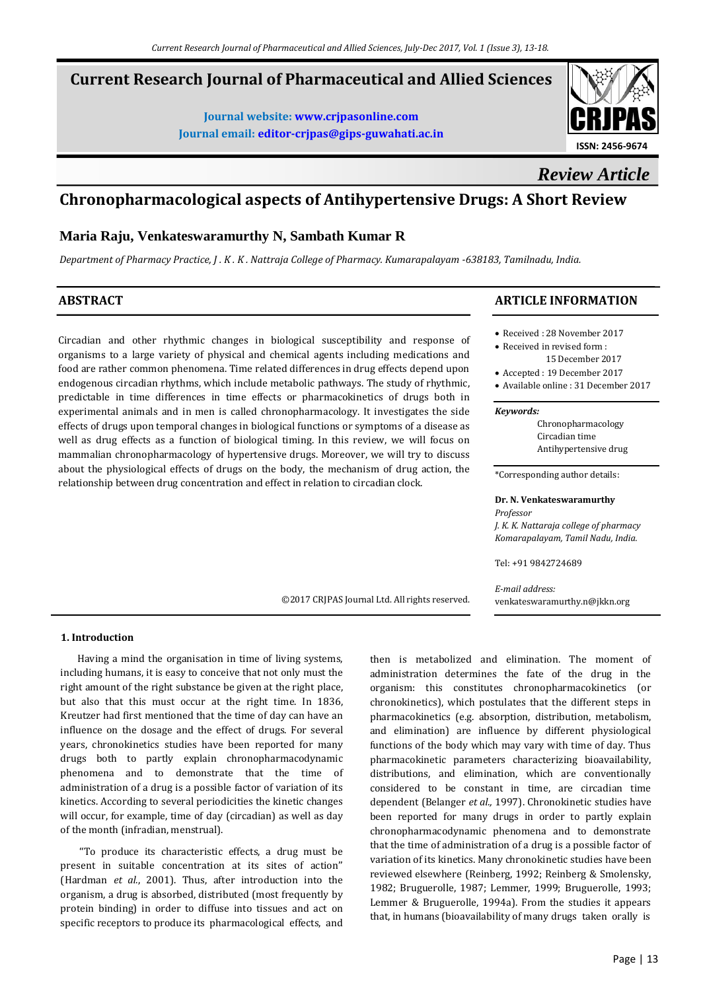# **Current Research Journal of Pharmaceutical and Allied Sciences**

**Journal website[: www.crjpasonline.com](http://www.crjpasonline.com/) Journal email: [editor-crjpas@gips-guwahati.ac.in](mailto:editor-crjpas@gips-guwahati.ac.in)**



*Review Article*

# **Chronopharmacological aspects of Antihypertensive Drugs: A Short Review**

©2017 CRJPAS Journal Ltd. All rights reserved.

# **Maria Raju, Venkateswaramurthy N, Sambath Kumar R**

*Department of Pharmacy Practice, J . K . K . Nattraja College of Pharmacy. Kumarapalayam -638183, Tamilnadu, India.*

# **ABSTRACT**

Circadian and other rhythmic changes in biological susceptibility and response of organisms to a large variety of physical and chemical agents including medications and food are rather common phenomena. Time related differences in drug effects depend upon endogenous circadian rhythms, which include metabolic pathways. The study of rhythmic, predictable in time differences in time effects or pharmacokinetics of drugs both in experimental animals and in men is called chronopharmacology. It investigates the side effects of drugs upon temporal changes in biological functions or symptoms of a disease as well as drug effects as a function of biological timing. In this review, we will focus on mammalian chronopharmacology of hypertensive drugs. Moreover, we will try to discuss about the physiological effects of drugs on the body, the mechanism of drug action, the relationship between drug concentration and effect in relation to circadian clock.

# **ARTICLE INFORMATION**

- Received : 28 November 2017
- Received in revised form :
- 15 December 2017
- Accepted : 19 December 2017
- Available online : 31 December 2017

#### *Keywords:*

Chronopharmacology Circadian time Antihypertensive drug

\*Corresponding author details:

# **Dr. N. Venkateswaramurthy**

*Professor J. K. K. Nattaraja college of pharmacy Komarapalayam, Tamil Nadu, India.*

Tel: +91 9842724689

*E-mail address:* [venkateswaramurthy.n@jkkn.org](mailto:venkateswaramurthy.n@jkkn.org)

**1. Introduction**

 Having a mind the organisation in time of living systems, including humans, it is easy to conceive that not only must the right amount of the right substance be given at the right place, but also that this must occur at the right time. In 1836, Kreutzer had first mentioned that the time of day can have an influence on the dosage and the effect of drugs. For several years, chronokinetics studies have been reported for many drugs both to partly explain chronopharmacodynamic phenomena and to demonstrate that the time of administration of a drug is a possible factor of variation of its kinetics. According to several periodicities the kinetic changes will occur, for example, time of day (circadian) as well as day of the month (infradian, menstrual).

 ''To produce its characteristic effects, a drug must be present in suitable concentration at its sites of action'' (Hardman *et al.*, 2001). Thus, after introduction into the organism, a drug is absorbed, distributed (most frequently by protein binding) in order to diffuse into tissues and act on specific receptors to produce its pharmacological effects, and then is metabolized and elimination. The moment of administration determines the fate of the drug in the organism: this constitutes chronopharmacokinetics (or chronokinetics), which postulates that the different steps in pharmacokinetics (e.g. absorption, distribution, metabolism, and elimination) are influence by different physiological functions of the body which may vary with time of day. Thus pharmacokinetic parameters characterizing bioavailability, distributions, and elimination, which are conventionally considered to be constant in time, are circadian time dependent (Belanger *et al.,* 1997). Chronokinetic studies have been reported for many drugs in order to partly explain chronopharmacodynamic phenomena and to demonstrate that the time of administration of a drug is a possible factor of variation of its kinetics. Many chronokinetic studies have been reviewed elsewhere (Reinberg, 1992; Reinberg & Smolensky, 1982; Bruguerolle, 1987; Lemmer, 1999; Bruguerolle, 1993; Lemmer & Bruguerolle, 1994a). From the studies it appears that, in humans (bioavailability of many drugs taken orally is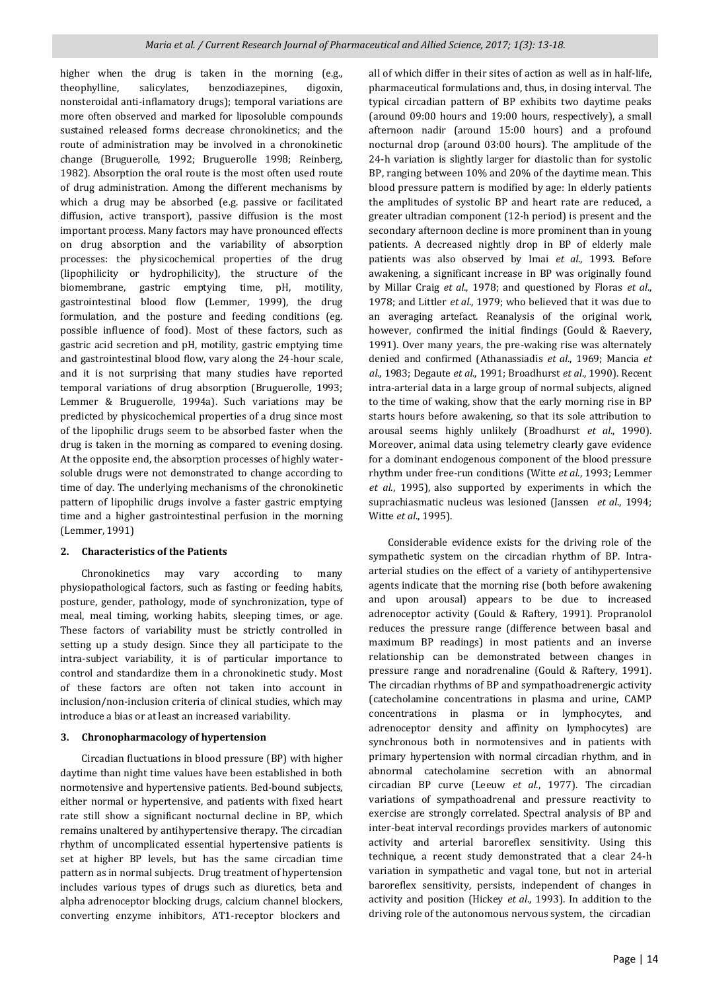higher when the drug is taken in the morning (e.g., theophylline, salicylates, benzodiazepines, digoxin, nonsteroidal anti-inflamatory drugs); temporal variations are more often observed and marked for liposoluble compounds sustained released forms decrease chronokinetics; and the route of administration may be involved in a chronokinetic change (Bruguerolle, 1992; Bruguerolle 1998; Reinberg, 1982). Absorption the oral route is the most often used route of drug administration. Among the different mechanisms by which a drug may be absorbed (e.g. passive or facilitated diffusion, active transport), passive diffusion is the most important process. Many factors may have pronounced effects on drug absorption and the variability of absorption processes: the physicochemical properties of the drug (lipophilicity or hydrophilicity), the structure of the biomembrane, gastric emptying time, pH, motility, gastrointestinal blood flow (Lemmer, 1999), the drug formulation, and the posture and feeding conditions (eg. possible influence of food). Most of these factors, such as gastric acid secretion and pH, motility, gastric emptying time and gastrointestinal blood flow, vary along the 24-hour scale, and it is not surprising that many studies have reported temporal variations of drug absorption (Bruguerolle, 1993; Lemmer & Bruguerolle, 1994a). Such variations may be predicted by physicochemical properties of a drug since most of the lipophilic drugs seem to be absorbed faster when the drug is taken in the morning as compared to evening dosing. At the opposite end, the absorption processes of highly watersoluble drugs were not demonstrated to change according to time of day. The underlying mechanisms of the chronokinetic pattern of lipophilic drugs involve a faster gastric emptying time and a higher gastrointestinal perfusion in the morning (Lemmer, 1991)

#### **2. Characteristics of the Patients**

 Chronokinetics may vary according to many physiopathological factors, such as fasting or feeding habits, posture, gender, pathology, mode of synchronization, type of meal, meal timing, working habits, sleeping times, or age. These factors of variability must be strictly controlled in setting up a study design. Since they all participate to the intra-subject variability, it is of particular importance to control and standardize them in a chronokinetic study. Most of these factors are often not taken into account in inclusion/non-inclusion criteria of clinical studies, which may introduce a bias or at least an increased variability.

#### **3. Chronopharmacology of hypertension**

 Circadian fluctuations in blood pressure (BP) with higher daytime than night time values have been established in both normotensive and hypertensive patients. Bed-bound subjects, either normal or hypertensive, and patients with fixed heart rate still show a significant nocturnal decline in BP, which remains unaltered by antihypertensive therapy. The circadian rhythm of uncomplicated essential hypertensive patients is set at higher BP levels, but has the same circadian time pattern as in normal subjects. Drug treatment of hypertension includes various types of drugs such as diuretics, beta and alpha adrenoceptor blocking drugs, calcium channel blockers, converting enzyme inhibitors, AT1-receptor blockers and

all of which differ in their sites of action as well as in half-life, pharmaceutical formulations and, thus, in dosing interval. The typical circadian pattern of BP exhibits two daytime peaks (around 09:00 hours and 19:00 hours, respectively), a small afternoon nadir (around 15:00 hours) and a profound nocturnal drop (around 03:00 hours). The amplitude of the 24-h variation is slightly larger for diastolic than for systolic BP, ranging between 10% and 20% of the daytime mean. This blood pressure pattern is modified by age: In elderly patients the amplitudes of systolic BP and heart rate are reduced, a greater ultradian component (12-h period) is present and the secondary afternoon decline is more prominent than in young patients. A decreased nightly drop in BP of elderly male patients was also observed by Imai *et al*., 1993. Before awakening, a significant increase in BP was originally found by Millar Craig *et al*., 1978; and questioned by Floras *et al*., 1978; and Littler *et al*., 1979; who believed that it was due to an averaging artefact. Reanalysis of the original work, however, confirmed the initial findings (Gould & Raevery, 1991). Over many years, the pre-waking rise was alternately denied and confirmed (Athanassiadis *et al*., 1969; Mancia *et al*., 1983; Degaute *et al*., 1991; Broadhurst *et al*., 1990). Recent intra-arterial data in a large group of normal subjects, aligned to the time of waking, show that the early morning rise in BP starts hours before awakening, so that its sole attribution to arousal seems highly unlikely (Broadhurst *et al*., 1990). Moreover, animal data using telemetry clearly gave evidence for a dominant endogenous component of the blood pressure rhythm under free-run conditions (Witte *et al*., 1993; Lemmer *et al*., 1995), also supported by experiments in which the suprachiasmatic nucleus was lesioned (Janssen *et al*., 1994; Witte *et al*., 1995).

 Considerable evidence exists for the driving role of the sympathetic system on the circadian rhythm of BP. Intraarterial studies on the effect of a variety of antihypertensive agents indicate that the morning rise (both before awakening and upon arousal) appears to be due to increased adrenoceptor activity (Gould & Raftery, 1991). Propranolol reduces the pressure range (difference between basal and maximum BP readings) in most patients and an inverse relationship can be demonstrated between changes in pressure range and noradrenaline (Gould & Raftery, 1991). The circadian rhythms of BP and sympathoadrenergic activity (catecholamine concentrations in plasma and urine, CAMP concentrations in plasma or in lymphocytes, and adrenoceptor density and affinity on lymphocytes) are synchronous both in normotensives and in patients with primary hypertension with normal circadian rhythm, and in abnormal catecholamine secretion with an abnormal circadian BP curve (Leeuw *et al*., 1977). The circadian variations of sympathoadrenal and pressure reactivity to exercise are strongly correlated. Spectral analysis of BP and inter-beat interval recordings provides markers of autonomic activity and arterial baroreflex sensitivity. Using this technique, a recent study demonstrated that a clear 24-h variation in sympathetic and vagal tone, but not in arterial baroreflex sensitivity, persists, independent of changes in activity and position (Hickey *et al*., 1993). In addition to the driving role of the autonomous nervous system, the circadian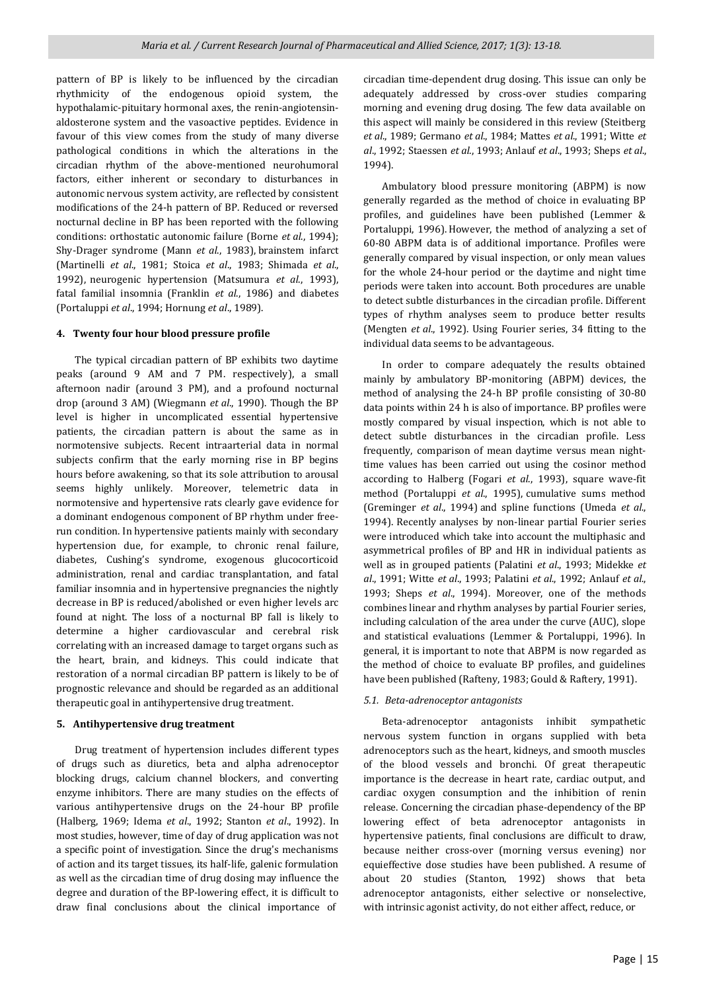pattern of BP is likely to be influenced by the circadian rhythmicity of the endogenous opioid system, the hypothalamic-pituitary hormonal axes, the renin-angiotensinaldosterone system and the vasoactive peptides. Evidence in favour of this view comes from the study of many diverse pathological conditions in which the alterations in the circadian rhythm of the above-mentioned neurohumoral factors, either inherent or secondary to disturbances in autonomic nervous system activity, are reflected by consistent modifications of the 24-h pattern of BP. Reduced or reversed nocturnal decline in BP has been reported with the following conditions: orthostatic autonomic failure (Borne *et al*., 1994); Shy-Drager syndrome (Mann *et al*., 1983), brainstem infarct (Martinelli *et al*., 1981; Stoica *et al*., 1983; Shimada *et al*., 1992), neurogenic hypertension (Matsumura *et al*., 1993), fatal familial insomnia (Franklin *et al*., 1986) and diabetes (Portaluppi *et al*., 1994; Hornung *et al*., 1989).

### **4. Twenty four hour blood pressure profile**

 The typical circadian pattern of BP exhibits two daytime peaks (around 9 AM and 7 PM. respectively), a small afternoon nadir (around 3 PM), and a profound nocturnal drop (around 3 AM) (Wiegmann *et al*., 1990). Though the BP level is higher in uncomplicated essential hypertensive patients, the circadian pattern is about the same as in normotensive subjects. Recent intraarterial data in normal subjects confirm that the early morning rise in BP begins hours before awakening, so that its sole attribution to arousal seems highly unlikely. Moreover, telemetric data in normotensive and hypertensive rats clearly gave evidence for a dominant endogenous component of BP rhythm under freerun condition. In hypertensive patients mainly with secondary hypertension due, for example, to chronic renal failure, diabetes, Cushing's syndrome, exogenous glucocorticoid administration, renal and cardiac transplantation, and fatal familiar insomnia and in hypertensive pregnancies the nightly decrease in BP is reduced/abolished or even higher levels arc found at night. The loss of a nocturnal BP fall is likely to determine a higher cardiovascular and cerebral risk correlating with an increased damage to target organs such as the heart, brain, and kidneys. This could indicate that restoration of a normal circadian BP pattern is likely to be of prognostic relevance and should be regarded as an additional therapeutic goal in antihypertensive drug treatment.

#### **5. Antihypertensive drug treatment**

 Drug treatment of hypertension includes different types of drugs such as diuretics, beta and alpha adrenoceptor blocking drugs, calcium channel blockers, and converting enzyme inhibitors. There are many studies on the effects of various antihypertensive drugs on the 24-hour BP profile (Halberg, 1969; Idema *et al*., 1992; Stanton *et al*., 1992). In most studies, however, time of day of drug application was not a specific point of investigation. Since the drug's mechanisms of action and its target tissues, its half-life, galenic formulation as well as the circadian time of drug dosing may influence the degree and duration of the BP-lowering effect, it is difficult to draw final conclusions about the clinical importance of

circadian time-dependent drug dosing. This issue can only be adequately addressed by cross-over studies comparing morning and evening drug dosing. The few data available on this aspect will mainly be considered in this review (Steitberg *et al*., 1989; Germano *et al*., 1984; Mattes *et al*., 1991; Witte *et al*., 1992; Staessen *et al*., 1993; Anlauf *et al*., 1993; Sheps *et al*., 1994).

 Ambulatory blood pressure monitoring (ABPM) is now generally regarded as the method of choice in evaluating BP profiles, and guidelines have been published (Lemmer & Portaluppi, 1996). However, the method of analyzing a set of 60-80 ABPM data is of additional importance. Profiles were generally compared by visual inspection, or only mean values for the whole 24-hour period or the daytime and night time periods were taken into account. Both procedures are unable to detect subtle disturbances in the circadian profile. Different types of rhythm analyses seem to produce better results (Mengten *et al*., 1992). Using Fourier series, 34 fitting to the individual data seems to be advantageous.

 In order to compare adequately the results obtained mainly by ambulatory BP-monitoring (ABPM) devices, the method of analysing the 24-h BP profile consisting of 30-80 data points within 24 h is also of importance. BP profiles were mostly compared by visual inspection, which is not able to detect subtle disturbances in the circadian profile. Less frequently, comparison of mean daytime versus mean nighttime values has been carried out using the cosinor method according to Halberg (Fogari *et al*., 1993), square wave-fit method (Portaluppi *et al*., 1995), cumulative sums method (Greminger *et al*., 1994) and spline functions (Umeda *et al*., 1994). Recently analyses by non-linear partial Fourier series were introduced which take into account the multiphasic and asymmetrical profiles of BP and HR in individual patients as well as in grouped patients (Palatini *et al*., 1993; Midekke *et al*., 1991; Witte *et al*., 1993; Palatini *et al*., 1992; Anlauf *et al*., 1993; Sheps *et al*., 1994). Moreover, one of the methods combines linear and rhythm analyses by partial Fourier series, including calculation of the area under the curve (AUC), slope and statistical evaluations (Lemmer & Portaluppi, 1996). In general, it is important to note that ABPM is now regarded as the method of choice to evaluate BP profiles, and guidelines have been published (Rafteny, 1983; Gould & Raftery, 1991).

## *5.1. Beta-adrenoceptor antagonists*

 Beta-adrenoceptor antagonists inhibit sympathetic nervous system function in organs supplied with beta adrenoceptors such as the heart, kidneys, and smooth muscles of the blood vessels and bronchi. Of great therapeutic importance is the decrease in heart rate, cardiac output, and cardiac oxygen consumption and the inhibition of renin release. Concerning the circadian phase-dependency of the BP lowering effect of beta adrenoceptor antagonists in hypertensive patients, final conclusions are difficult to draw, because neither cross-over (morning versus evening) nor equieffective dose studies have been published. A resume of about 20 studies (Stanton, 1992) shows that beta adrenoceptor antagonists, either selective or nonselective, with intrinsic agonist activity, do not either affect, reduce, or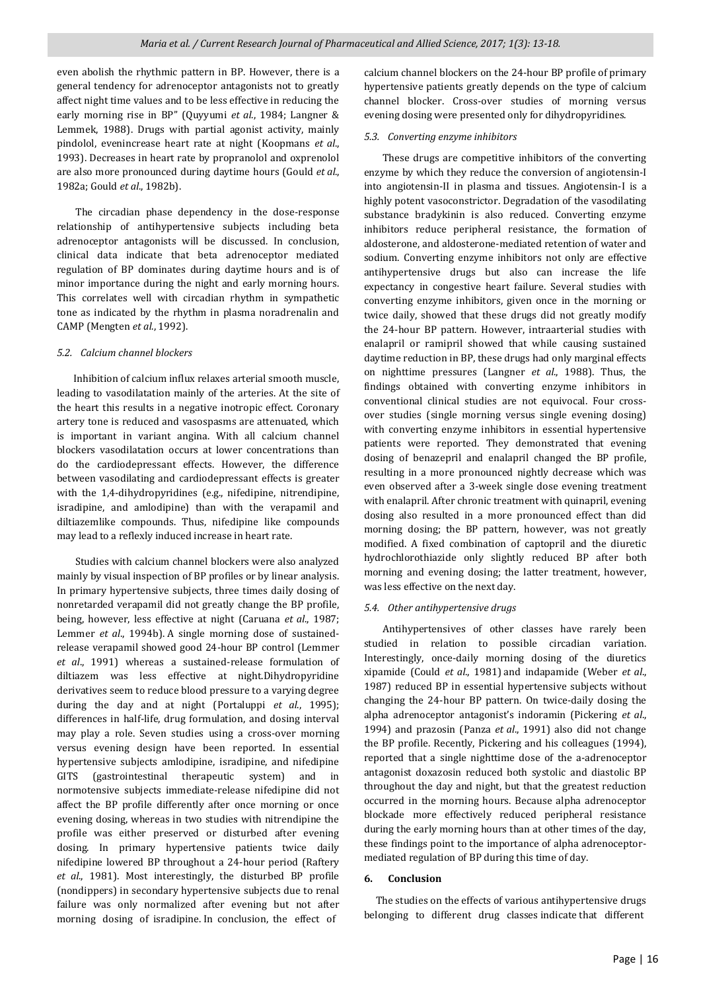even abolish the rhythmic pattern in BP. However, there is a general tendency for adrenoceptor antagonists not to greatly affect night time values and to be less effective in reducing the early morning rise in BP" (Quyyumi *et al*., 1984; Langner & Lemmek, 1988). Drugs with partial agonist activity, mainly pindolol, evenincrease heart rate at night (Koopmans *et al*., 1993). Decreases in heart rate by propranolol and oxprenolol are also more pronounced during daytime hours (Gould *et al*., 1982a; Gould *et al*., 1982b).

 The circadian phase dependency in the dose-response relationship of antihypertensive subjects including beta adrenoceptor antagonists will be discussed. In conclusion, clinical data indicate that beta adrenoceptor mediated regulation of BP dominates during daytime hours and is of minor importance during the night and early morning hours. This correlates well with circadian rhythm in sympathetic tone as indicated by the rhythm in plasma noradrenalin and CAMP (Mengten *et al*., 1992).

# *5.2. Calcium channel blockers*

 Inhibition of calcium influx relaxes arterial smooth muscle, leading to vasodilatation mainly of the arteries. At the site of the heart this results in a negative inotropic effect. Coronary artery tone is reduced and vasospasms are attenuated, which is important in variant angina. With all calcium channel blockers vasodilatation occurs at lower concentrations than do the cardiodepressant effects. However, the difference between vasodilating and cardiodepressant effects is greater with the 1,4-dihydropyridines (e.g., nifedipine, nitrendipine, isradipine, and amlodipine) than with the verapamil and diltiazemlike compounds. Thus, nifedipine like compounds may lead to a reflexly induced increase in heart rate.

 Studies with calcium channel blockers were also analyzed mainly by visual inspection of BP profiles or by linear analysis. In primary hypertensive subjects, three times daily dosing of nonretarded verapamil did not greatly change the BP profile, being, however, less effective at night (Caruana *et al*., 1987; Lemmer *et al*., 1994b). A single morning dose of sustainedrelease verapamil showed good 24-hour BP control (Lemmer *et al*., 1991) whereas a sustained-release formulation of diltiazem was less effective at night.Dihydropyridine derivatives seem to reduce blood pressure to a varying degree during the day and at night (Portaluppi *et al*., 1995); differences in half-life, drug formulation, and dosing interval may play a role. Seven studies using a cross-over morning versus evening design have been reported. In essential hypertensive subjects amlodipine, isradipine, and nifedipine GITS (gastrointestinal therapeutic system) and in normotensive subjects immediate-release nifedipine did not affect the BP profile differently after once morning or once evening dosing, whereas in two studies with nitrendipine the profile was either preserved or disturbed after evening dosing. In primary hypertensive patients twice daily nifedipine lowered BP throughout a 24-hour period (Raftery *et al*., 1981). Most interestingly, the disturbed BP profile (nondippers) in secondary hypertensive subjects due to renal failure was only normalized after evening but not after morning dosing of isradipine. In conclusion, the effect of

calcium channel blockers on the 24-hour BP profile of primary hypertensive patients greatly depends on the type of calcium channel blocker. Cross-over studies of morning versus evening dosing were presented only for dihydropyridines.

## *5.3. Converting enzyme inhibitors*

 These drugs are competitive inhibitors of the converting enzyme by which they reduce the conversion of angiotensin-I into angiotensin-II in plasma and tissues. Angiotensin-I is a highly potent vasoconstrictor. Degradation of the vasodilating substance bradykinin is also reduced. Converting enzyme inhibitors reduce peripheral resistance, the formation of aldosterone, and aldosterone-mediated retention of water and sodium. Converting enzyme inhibitors not only are effective antihypertensive drugs but also can increase the life expectancy in congestive heart failure. Several studies with converting enzyme inhibitors, given once in the morning or twice daily, showed that these drugs did not greatly modify the 24-hour BP pattern. However, intraarterial studies with enalapril or ramipril showed that while causing sustained daytime reduction in BP, these drugs had only marginal effects on nighttime pressures (Langner *et al*., 1988). Thus, the findings obtained with converting enzyme inhibitors in conventional clinical studies are not equivocal. Four crossover studies (single morning versus single evening dosing) with converting enzyme inhibitors in essential hypertensive patients were reported. They demonstrated that evening dosing of benazepril and enalapril changed the BP profile, resulting in a more pronounced nightly decrease which was even observed after a 3-week single dose evening treatment with enalapril. After chronic treatment with quinapril, evening dosing also resulted in a more pronounced effect than did morning dosing; the BP pattern, however, was not greatly modified. A fixed combination of captopril and the diuretic hydrochlorothiazide only slightly reduced BP after both morning and evening dosing; the latter treatment, however, was less effective on the next day.

## *5.4. Other antihypertensive drugs*

 Antihypertensives of other classes have rarely been studied in relation to possible circadian variation. Interestingly, once-daily morning dosing of the diuretics xipamide (Could *et al*., 1981) and indapamide (Weber *et al*., 1987) reduced BP in essential hypertensive subjects without changing the 24-hour BP pattern. On twice-daily dosing the alpha adrenoceptor antagonist's indoramin (Pickering *et al*., 1994) and prazosin (Panza *et al*., 1991) also did not change the BP profile. Recently, Pickering and his colleagues (1994), reported that a single nighttime dose of the a-adrenoceptor antagonist doxazosin reduced both systolic and diastolic BP throughout the day and night, but that the greatest reduction occurred in the morning hours. Because alpha adrenoceptor blockade more effectively reduced peripheral resistance during the early morning hours than at other times of the day, these findings point to the importance of alpha adrenoceptormediated regulation of BP during this time of day.

## **6. Conclusion**

 The studies on the effects of various antihypertensive drugs belonging to different drug classes indicate that different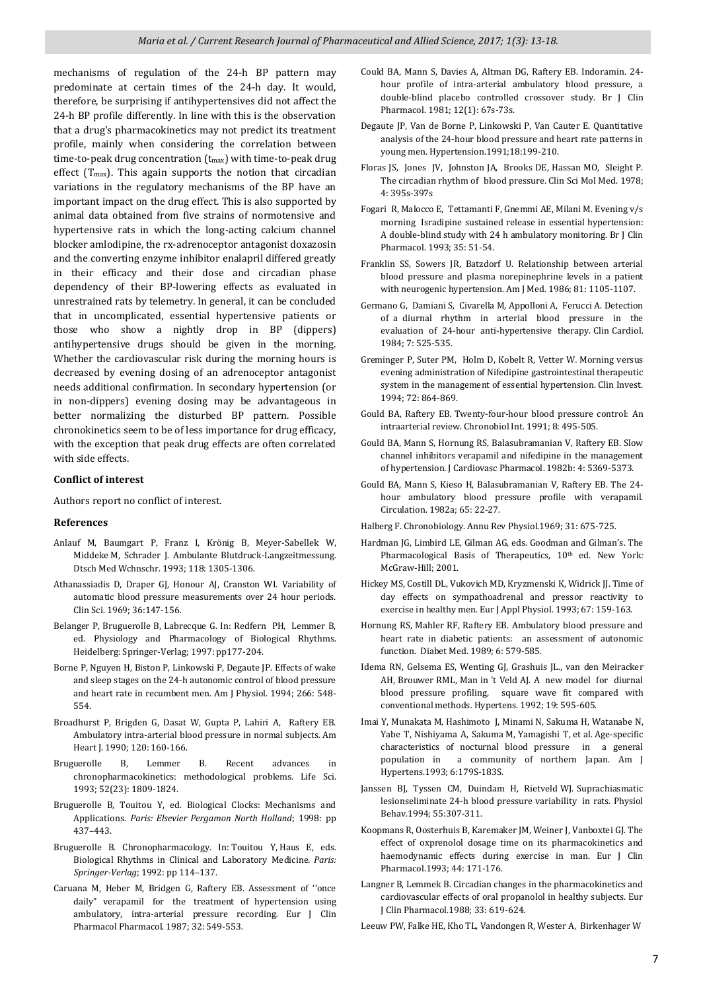mechanisms of regulation of the 24-h BP pattern may predominate at certain times of the 24-h day. It would, therefore, be surprising if antihypertensives did not affect the 24-h BP profile differently. In line with this is the observation that a drug's pharmacokinetics may not predict its treatment profile, mainly when considering the correlation between time-to-peak drug concentration  $(t_{max})$  with time-to-peak drug effect (Tmax). This again supports the notion that circadian variations in the regulatory mechanisms of the BP have an important impact on the drug effect. This is also supported by animal data obtained from five strains of normotensive and hypertensive rats in which the long-acting calcium channel blocker amlodipine, the rx-adrenoceptor antagonist doxazosin and the converting enzyme inhibitor enalapril differed greatly in their efficacy and their dose and circadian phase dependency of their BP-lowering effects as evaluated in unrestrained rats by telemetry. In general, it can be concluded that in uncomplicated, essential hypertensive patients or those who show a nightly drop in BP (dippers) antihypertensive drugs should be given in the morning. Whether the cardiovascular risk during the morning hours is decreased by evening dosing of an adrenoceptor antagonist needs additional confirmation. In secondary hypertension (or in non-dippers) evening dosing may be advantageous in better normalizing the disturbed BP pattern. Possible chronokinetics seem to be of less importance for drug efficacy, with the exception that peak drug effects are often correlated with side effects.

#### **Conflict of interest**

Authors report no conflict of interest.

#### **References**

- Anlauf M, Baumgart P, Franz I, Krönig B, Meyer-Sabellek W, Middeke M, Schrader J. Ambulante Blutdruck-Langzeitmessung. Dtsch Med Wchnschr. 1993; 118: 1305-1306.
- Athanassiadis D, Draper GJ, Honour AJ, Cranston WI. Variability of automatic blood pressure measurements over 24 hour periods. Clin Sci. 1969; 36:147-156.
- Belanger P, Bruguerolle B, Labrecque G. In: Redfern PH, Lemmer B, ed. Physiology and Pharmacology of Biological Rhythms. Heidelberg: Springer-Verlag; 1997: pp177-204.
- Borne P, Nguyen H, Biston P, Linkowski P, Degaute JP. Effects of wake and sleep stages on the 24-h autonomic control of blood pressure and heart rate in recumbent men. Am J Physiol. 1994; 266: 548- 554.
- Broadhurst P, Brigden G, Dasat W, Gupta P, Lahiri A, Raftery EB. Ambulatory intra-arterial blood pressure in normal subjects*.* Am Heart J. 1990; 120: 160-166.
- Bruguerolle B, Lemmer B. Recent advances in chronopharmacokinetics: methodological problems. Life Sci. 1993; 52(23): 1809-1824.
- Bruguerolle B, Touitou Y, ed. Biological Clocks: Mechanisms and Applications. *Paris: Elsevier Pergamon North Holland*; 1998: pp 437–443.
- Bruguerolle B. Chronopharmacology. In: Touitou Y, Haus E, eds. Biological Rhythms in Clinical and Laboratory Medicine*. Paris: Springer-Verlag*; 1992: pp 114–137.
- Caruana M, Heber M, Bridgen G, Raftery EB. Assessment of ''once daily" verapamil for the treatment of hypertension using ambulatory, intra-arterial pressure recording*.* Eur J Clin Pharmacol Pharmacol. 1987; 32: 549-553.
- Could BA, Mann S, Davies A, Altman DG, Raftery EB. Indoramin. 24 hour profile of intra-arterial ambulatory blood pressure, a double-blind placebo controlled crossover study. Br J Clin Pharmacol. 1981; 12(1): 67s-73s.
- Degaute JP, Van de Borne P, Linkowski P, Van Cauter E. Quantitative analysis of the 24-hour blood pressure and heart rate patterns in young men. Hypertension.1991;18:199-210.
- Floras JS, Jones JV, Johnston JA, Brooks DE, Hassan MO, Sleight P. The circadian rhythm of blood pressure*.* Clin Sci Mol Med. 1978; 4: 395s-397s
- Fogari R, Malocco E, Tettamanti F, Gnemmi AE, Milani M. Evening v/s morning Isradipine sustained release in essential hypertension: A double-blind study with 24 h ambulatory monitoring. Br J Clin Pharmacol. 1993; 35: 51-54.
- Franklin SS, Sowers JR, Batzdorf U. Relationship between arterial blood pressure and plasma norepinephrine levels in a patient with neurogenic hypertension. Am J Med. 1986; 81: 1105-1107.
- Germano G, Damiani S, Civarella M, Appolloni A, Ferucci A. Detection of a diurnal rhythm in arterial blood pressure in the evaluation of 24-hour anti-hypertensive therapy. Clin Cardiol. 1984; 7: 525-535.
- Greminger P, Suter PM, Holm D, Kobelt R, Vetter W*.* Morning versus evening administration of Nifedipine gastrointestinal therapeutic system in the management of essential hypertension. Clin Invest. 1994; 72: 864-869.
- Gould BA, Raftery EB*.* Twenty-four-hour blood pressure control: An intraarterial review. Chronobiol Int*.* 1991; 8: 495-505.
- Gould BA, Mann S, Hornung RS, Balasubramanian V, Raftery EB. Slow channel inhibitors verapamil and nifedipine in the management of hypertension*.* J Cardiovasc Pharmacol. 1982b: 4: 5369-5373.
- Gould BA, Mann S, Kieso H, Balasubramanian V, Raftery EB. The 24 hour ambulatory blood pressure profile with verapamil. Circulation. 1982a; 65: 22-27.
- Halberg F. Chronobiology*.* Annu Rev Physiol.1969; 31: 675-725.
- Hardman JG, Limbird LE, Gilman AG, eds. Goodman and Gilman's. The Pharmacological Basis of Therapeutics,  $10<sup>th</sup>$  ed. New York: McGraw-Hill; 2001.
- Hickey MS, Costill DL, Vukovich MD, Kryzmenski K, Widrick JJ. Time of day effects on sympathoadrenal and pressor reactivity to exercise in healthy men. Eur J Appl Physiol. 1993; 67: 159-163.
- Hornung RS, Mahler RF, Raftery EB. Ambulatory blood pressure and heart rate in diabetic patients: an assessment of autonomic function. Diabet Med. 1989; 6: 579-585.
- Idema RN, Gelsema ES, Wenting GJ, Grashuis JL., van den Meiracker AH, Brouwer RML, Man in 't Veld AJ. A new model for diurnal blood pressure profiling, square wave fit compared with conventional methods*.* Hypertens. 1992; 19: 595-605.
- Imai Y, Munakata M, Hashimoto J, Minami N, Sakuma H, Watanabe N, Yabe T, Nishiyama A, Sakuma M, Yamagishi T, et al. Age-specific characteristics of nocturnal blood pressure in a general population in a community of northern Japan. Am J Hypertens.1993; 6:179S-183S.
- Janssen BJ, Tyssen CM, Duindam H, Rietveld WJ. Suprachiasmatic lesionseliminate 24-h blood pressure variability in rats. Physiol Behav.1994; 55:307-311.
- Koopmans R, Oosterhuis B, Karemaker JM, Weiner J, Vanboxtei GJ. The effect of oxprenolol dosage time on its pharmacokinetics and haemodynamic effects during exercise in man. Eur J Clin Pharmacol.1993; 44: 171-176.
- Langner B, Lemmek B. Circadian changes in the pharmacokinetics and cardiovascular effects of oral propanolol in healthy subjects. Eur J Clin Pharmacol*.*1988; 33: 619-624.
- Leeuw PW, Falke HE, Kho TL, Vandongen R, Wester A, Birkenhager W